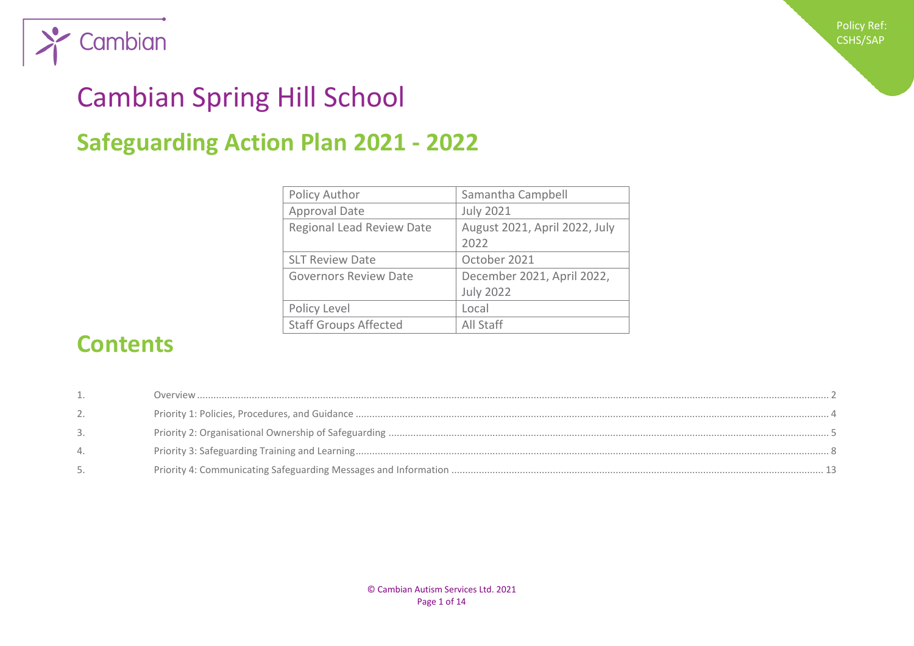

# Cambian Spring Hill School

## **Safeguarding Action Plan 2021 - 2022**

| Policy Author                | Samantha Campbell             |
|------------------------------|-------------------------------|
| <b>Approval Date</b>         | <b>July 2021</b>              |
| Regional Lead Review Date    | August 2021, April 2022, July |
|                              | 2022                          |
| <b>SLT Review Date</b>       | October 2021                  |
| <b>Governors Review Date</b> | December 2021, April 2022,    |
|                              | <b>July 2022</b>              |
| Policy Level                 | Local                         |
| <b>Staff Groups Affected</b> | All Staff                     |

## **Contents**

| 3. |  |
|----|--|
|    |  |
|    |  |

Policy Ref: CSHS/SAP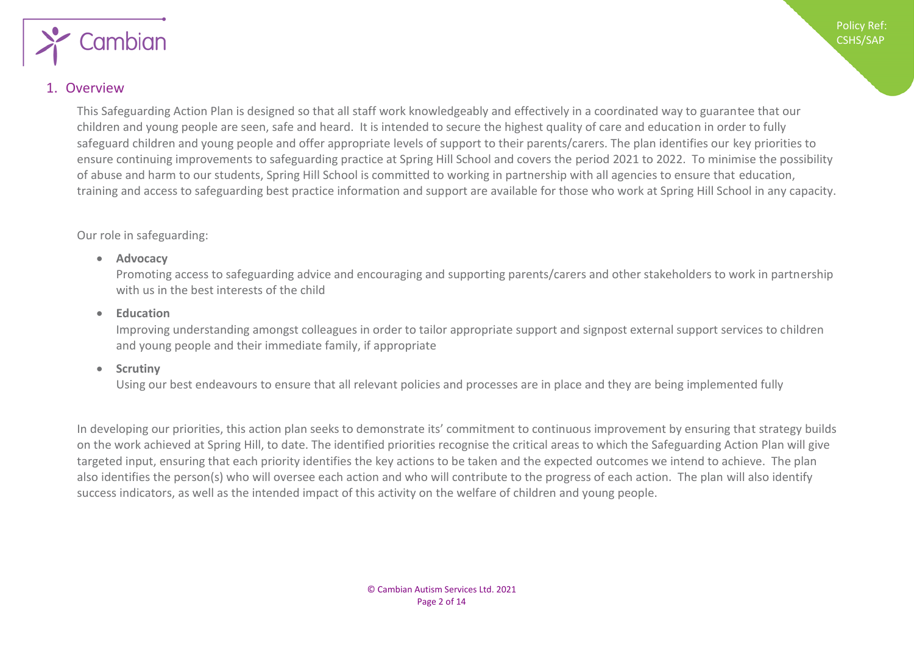

#### <span id="page-1-0"></span>1. Overview

This Safeguarding Action Plan is designed so that all staff work knowledgeably and effectively in a coordinated way to guarantee that our children and young people are seen, safe and heard. It is intended to secure the highest quality of care and education in order to fully safeguard children and young people and offer appropriate levels of support to their parents/carers. The plan identifies our key priorities to ensure continuing improvements to safeguarding practice at Spring Hill School and covers the period 2021 to 2022. To minimise the possibility of abuse and harm to our students, Spring Hill School is committed to working in partnership with all agencies to ensure that education, training and access to safeguarding best practice information and support are available for those who work at Spring Hill School in any capacity.

#### Our role in safeguarding:

#### • **Advocacy**

Promoting access to safeguarding advice and encouraging and supporting parents/carers and other stakeholders to work in partnership with us in the best interests of the child

#### • **Education**

Improving understanding amongst colleagues in order to tailor appropriate support and signpost external support services to children and young people and their immediate family, if appropriate

#### • **Scrutiny**

Using our best endeavours to ensure that all relevant policies and processes are in place and they are being implemented fully

In developing our priorities, this action plan seeks to demonstrate its' commitment to continuous improvement by ensuring that strategy builds on the work achieved at Spring Hill, to date. The identified priorities recognise the critical areas to which the Safeguarding Action Plan will give targeted input, ensuring that each priority identifies the key actions to be taken and the expected outcomes we intend to achieve. The plan also identifies the person(s) who will oversee each action and who will contribute to the progress of each action. The plan will also identify success indicators, as well as the intended impact of this activity on the welfare of children and young people.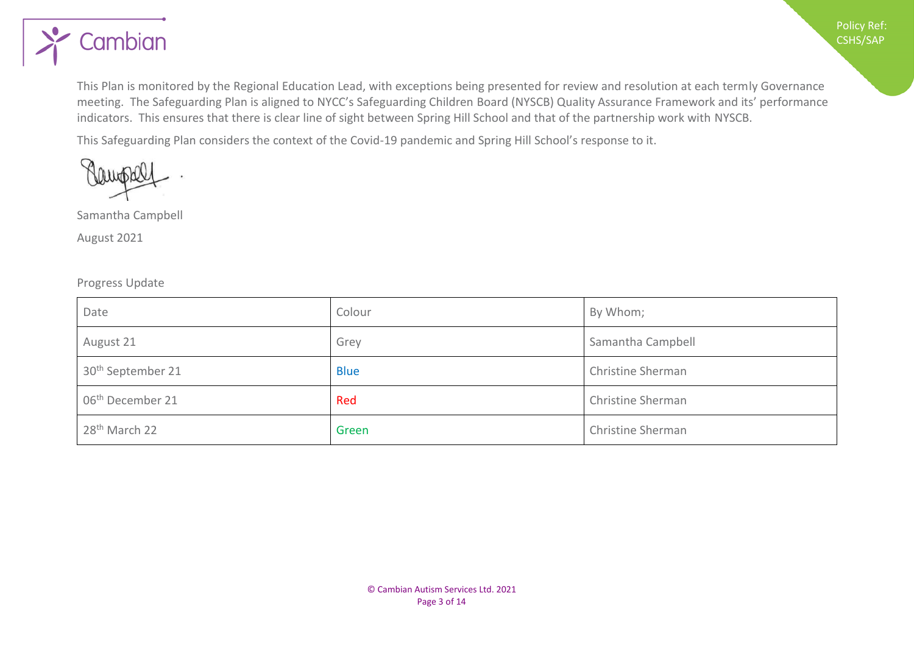

This Plan is monitored by the Regional Education Lead, with exceptions being presented for review and resolution at each termly Governance meeting. The Safeguarding Plan is aligned to NYCC's Safeguarding Children Board (NYSCB) Quality Assurance Framework and its' performance indicators. This ensures that there is clear line of sight between Spring Hill School and that of the partnership work with NYSCB.

This Safeguarding Plan considers the context of the Covid-19 pandemic and Spring Hill School's response to it.

Samantha Campbell

August 2021

#### Progress Update

| Date                          | Colour      | By Whom;          |
|-------------------------------|-------------|-------------------|
| August 21                     | Grey        | Samantha Campbell |
| 30 <sup>th</sup> September 21 | <b>Blue</b> | Christine Sherman |
| 06 <sup>th</sup> December 21  | Red         | Christine Sherman |
| 28 <sup>th</sup> March 22     | Green       | Christine Sherman |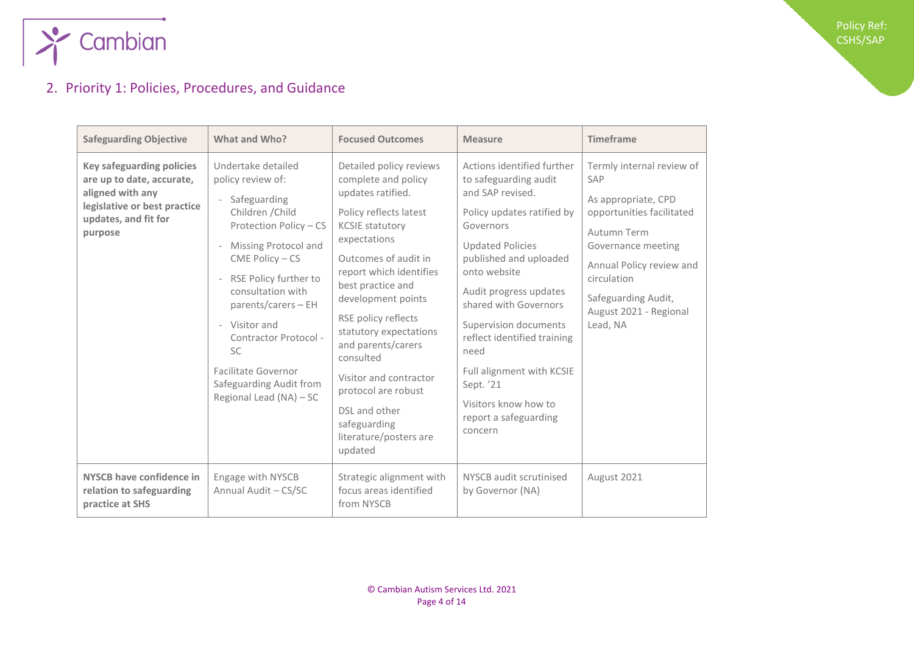

### <span id="page-3-0"></span>2. Priority 1: Policies, Procedures, and Guidance

| <b>Safeguarding Objective</b>                                                                                                                        | What and Who?                                                                                                                                                                                                                                                                                                                                                | <b>Focused Outcomes</b>                                                                                                                                                                                                                                                                                                                                                                                                                          | <b>Measure</b>                                                                                                                                                                                                                                                                                                                                                                                                   | <b>Timeframe</b>                                                                                                                                                                                                                  |
|------------------------------------------------------------------------------------------------------------------------------------------------------|--------------------------------------------------------------------------------------------------------------------------------------------------------------------------------------------------------------------------------------------------------------------------------------------------------------------------------------------------------------|--------------------------------------------------------------------------------------------------------------------------------------------------------------------------------------------------------------------------------------------------------------------------------------------------------------------------------------------------------------------------------------------------------------------------------------------------|------------------------------------------------------------------------------------------------------------------------------------------------------------------------------------------------------------------------------------------------------------------------------------------------------------------------------------------------------------------------------------------------------------------|-----------------------------------------------------------------------------------------------------------------------------------------------------------------------------------------------------------------------------------|
| <b>Key safeguarding policies</b><br>are up to date, accurate,<br>aligned with any<br>legislative or best practice<br>updates, and fit for<br>purpose | Undertake detailed<br>policy review of:<br>Safeguarding<br>Children / Child<br>Protection Policy - CS<br>Missing Protocol and<br>$CME Policy - CS$<br>RSE Policy further to<br>consultation with<br>$parents/cares - EH$<br>- Visitor and<br>Contractor Protocol -<br><b>SC</b><br>Facilitate Governor<br>Safeguarding Audit from<br>Regional Lead (NA) - SC | Detailed policy reviews<br>complete and policy<br>updates ratified.<br>Policy reflects latest<br><b>KCSIE statutory</b><br>expectations<br>Outcomes of audit in<br>report which identifies<br>best practice and<br>development points<br>RSE policy reflects<br>statutory expectations<br>and parents/carers<br>consulted<br>Visitor and contractor<br>protocol are robust<br>DSL and other<br>safeguarding<br>literature/posters are<br>updated | Actions identified further<br>to safeguarding audit<br>and SAP revised.<br>Policy updates ratified by<br>Governors<br><b>Updated Policies</b><br>published and uploaded<br>onto website<br>Audit progress updates<br>shared with Governors<br>Supervision documents<br>reflect identified training<br>need<br>Full alignment with KCSIE<br>Sept. '21<br>Visitors know how to<br>report a safeguarding<br>concern | Termly internal review of<br>SAP<br>As appropriate, CPD<br>opportunities facilitated<br>Autumn Term<br>Governance meeting<br>Annual Policy review and<br>circulation<br>Safeguarding Audit,<br>August 2021 - Regional<br>Lead, NA |
| NYSCB have confidence in<br>relation to safeguarding<br>practice at SHS                                                                              | Engage with NYSCB<br>Annual Audit - CS/SC                                                                                                                                                                                                                                                                                                                    | Strategic alignment with<br>focus areas identified<br>from NYSCB                                                                                                                                                                                                                                                                                                                                                                                 | NYSCB audit scrutinised<br>by Governor (NA)                                                                                                                                                                                                                                                                                                                                                                      | August 2021                                                                                                                                                                                                                       |

Policy Ref: CSHS/SAP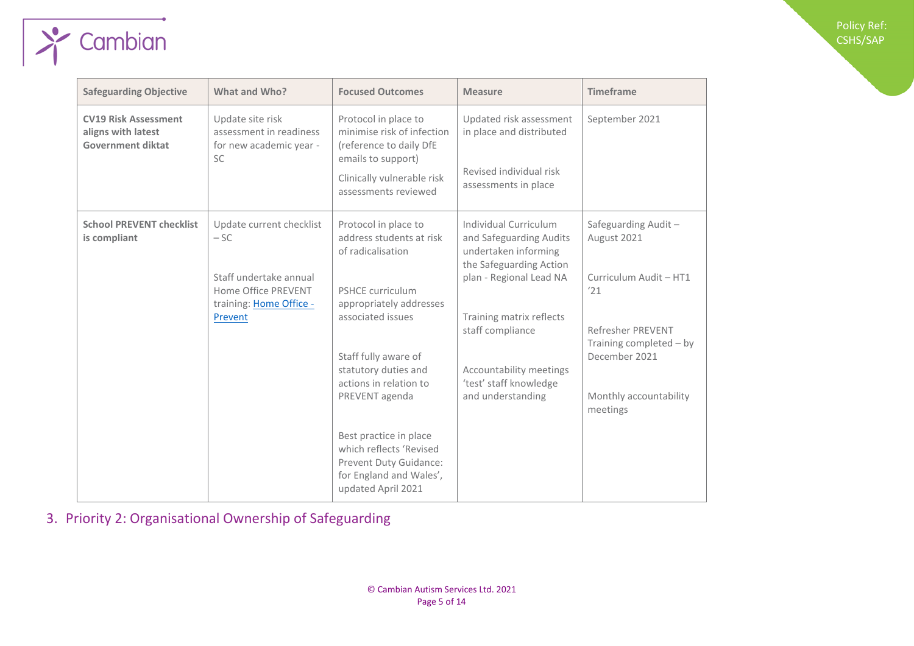| <b>Safeguarding Objective</b>                                                 | What and Who?                                                                                                            | <b>Focused Outcomes</b>                                                                                                                                                                                                                                                                                                                                                      | <b>Measure</b>                                                                                                                                                                                                                                           | <b>Timeframe</b>                                                                                                                                                           |
|-------------------------------------------------------------------------------|--------------------------------------------------------------------------------------------------------------------------|------------------------------------------------------------------------------------------------------------------------------------------------------------------------------------------------------------------------------------------------------------------------------------------------------------------------------------------------------------------------------|----------------------------------------------------------------------------------------------------------------------------------------------------------------------------------------------------------------------------------------------------------|----------------------------------------------------------------------------------------------------------------------------------------------------------------------------|
| <b>CV19 Risk Assessment</b><br>aligns with latest<br><b>Government diktat</b> | Update site risk<br>assessment in readiness<br>for new academic year -<br><b>SC</b>                                      | Protocol in place to<br>minimise risk of infection<br>(reference to daily DfE<br>emails to support)<br>Clinically vulnerable risk<br>assessments reviewed                                                                                                                                                                                                                    | Updated risk assessment<br>in place and distributed<br>Revised individual risk<br>assessments in place                                                                                                                                                   | September 2021                                                                                                                                                             |
| <b>School PREVENT checklist</b><br>is compliant                               | Update current checklist<br>$-SC$<br>Staff undertake annual<br>Home Office PREVENT<br>training: Home Office -<br>Prevent | Protocol in place to<br>address students at risk<br>of radicalisation<br><b>PSHCE curriculum</b><br>appropriately addresses<br>associated issues<br>Staff fully aware of<br>statutory duties and<br>actions in relation to<br>PREVENT agenda<br>Best practice in place<br>which reflects 'Revised<br>Prevent Duty Guidance:<br>for England and Wales',<br>updated April 2021 | Individual Curriculum<br>and Safeguarding Audits<br>undertaken informing<br>the Safeguarding Action<br>plan - Regional Lead NA<br>Training matrix reflects<br>staff compliance<br>Accountability meetings<br>'test' staff knowledge<br>and understanding | Safeguarding Audit-<br>August 2021<br>Curriculum Audit - HT1<br>'21<br>Refresher PREVENT<br>Training completed - by<br>December 2021<br>Monthly accountability<br>meetings |

Policy Ref: CSHS/SAP

<span id="page-4-0"></span>3. Priority 2: Organisational Ownership of Safeguarding

 $\rightarrow$  Cambian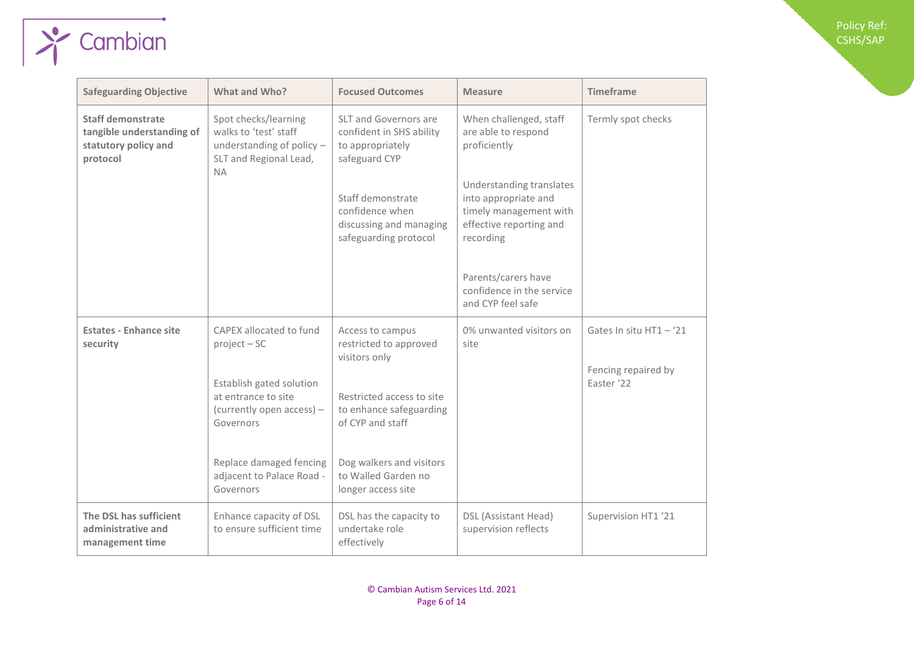| <b>Safeguarding Objective</b>                                                      | What and Who?                                                                                        | <b>Focused Outcomes</b>                                                                       | <b>Measure</b>                                                                                                     | <b>Timeframe</b>                  |
|------------------------------------------------------------------------------------|------------------------------------------------------------------------------------------------------|-----------------------------------------------------------------------------------------------|--------------------------------------------------------------------------------------------------------------------|-----------------------------------|
| Staff demonstrate<br>tangible understanding of<br>statutory policy and<br>protocol | Spot checks/learning<br>walks to 'test' staff<br>understanding of policy -<br>SLT and Regional Lead, | <b>SLT and Governors are</b><br>confident in SHS ability<br>to appropriately<br>safeguard CYP | When challenged, staff<br>are able to respond<br>proficiently                                                      | Termly spot checks                |
|                                                                                    | <b>NA</b>                                                                                            | Staff demonstrate<br>confidence when<br>discussing and managing<br>safeguarding protocol      | Understanding translates<br>into appropriate and<br>timely management with<br>effective reporting and<br>recording |                                   |
|                                                                                    |                                                                                                      |                                                                                               | Parents/carers have<br>confidence in the service<br>and CYP feel safe                                              |                                   |
| <b>Estates - Enhance site</b><br>security                                          | CAPEX allocated to fund<br>$project - SC$                                                            | Access to campus<br>restricted to approved<br>visitors only                                   | 0% unwanted visitors on<br>site                                                                                    | Gates In situ HT1 - '21           |
|                                                                                    | Establish gated solution<br>at entrance to site<br>(currently open access) -<br>Governors            | Restricted access to site<br>to enhance safeguarding<br>of CYP and staff                      |                                                                                                                    | Fencing repaired by<br>Easter '22 |
|                                                                                    | Replace damaged fencing<br>adjacent to Palace Road -<br>Governors                                    | Dog walkers and visitors<br>to Walled Garden no<br>longer access site                         |                                                                                                                    |                                   |
| The DSL has sufficient<br>administrative and<br>management time                    | Enhance capacity of DSL<br>to ensure sufficient time                                                 | DSL has the capacity to<br>undertake role<br>effectively                                      | DSL (Assistant Head)<br>supervision reflects                                                                       | Supervision HT1 '21               |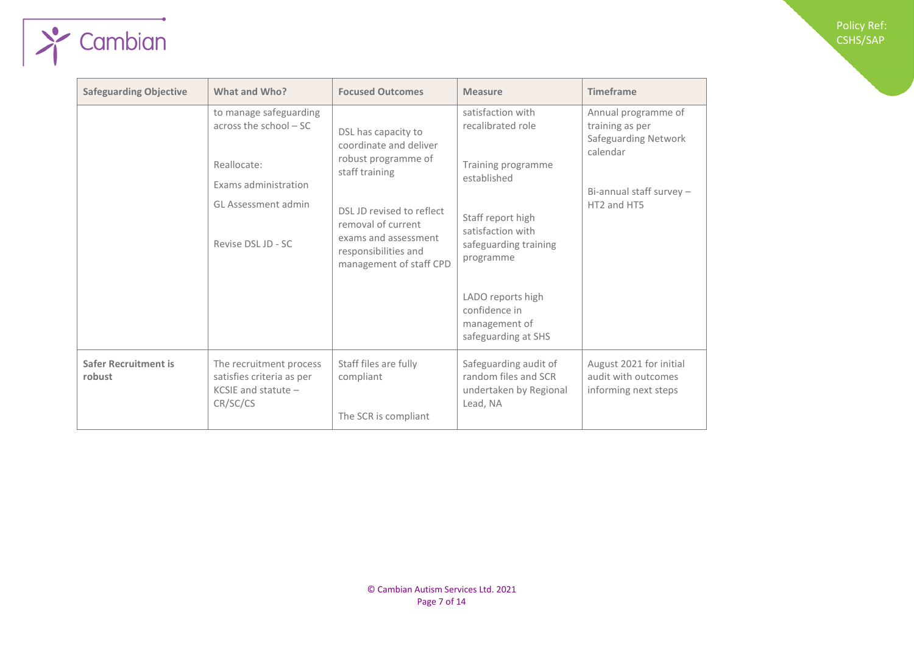| <b>Policy Ref:</b> |  |
|--------------------|--|
| <b>CSHS/SAP</b>    |  |

| <b>Safeguarding Objective</b>         | What and Who?                                                                                                                         | <b>Focused Outcomes</b>                                                                                                                                                                                              | <b>Measure</b>                                                                                                                                                                                                                            | <b>Timeframe</b>                                                                                                      |
|---------------------------------------|---------------------------------------------------------------------------------------------------------------------------------------|----------------------------------------------------------------------------------------------------------------------------------------------------------------------------------------------------------------------|-------------------------------------------------------------------------------------------------------------------------------------------------------------------------------------------------------------------------------------------|-----------------------------------------------------------------------------------------------------------------------|
|                                       | to manage safeguarding<br>across the school $-SC$<br>Reallocate:<br>Exams administration<br>GL Assessment admin<br>Revise DSL JD - SC | DSL has capacity to<br>coordinate and deliver<br>robust programme of<br>staff training<br>DSL JD revised to reflect<br>removal of current<br>exams and assessment<br>responsibilities and<br>management of staff CPD | satisfaction with<br>recalibrated role<br>Training programme<br>established<br>Staff report high<br>satisfaction with<br>safeguarding training<br>programme<br>LADO reports high<br>confidence in<br>management of<br>safeguarding at SHS | Annual programme of<br>training as per<br>Safeguarding Network<br>calendar<br>Bi-annual staff survey -<br>HT2 and HT5 |
| <b>Safer Recruitment is</b><br>robust | The recruitment process<br>satisfies criteria as per<br>KCSIE and statute $-$<br>CR/SC/CS                                             | Staff files are fully<br>compliant<br>The SCR is compliant                                                                                                                                                           | Safeguarding audit of<br>random files and SCR<br>undertaken by Regional<br>Lead, NA                                                                                                                                                       | August 2021 for initial<br>audit with outcomes<br>informing next steps                                                |

 $\sqrt{\frac{1}{2}$  Cambian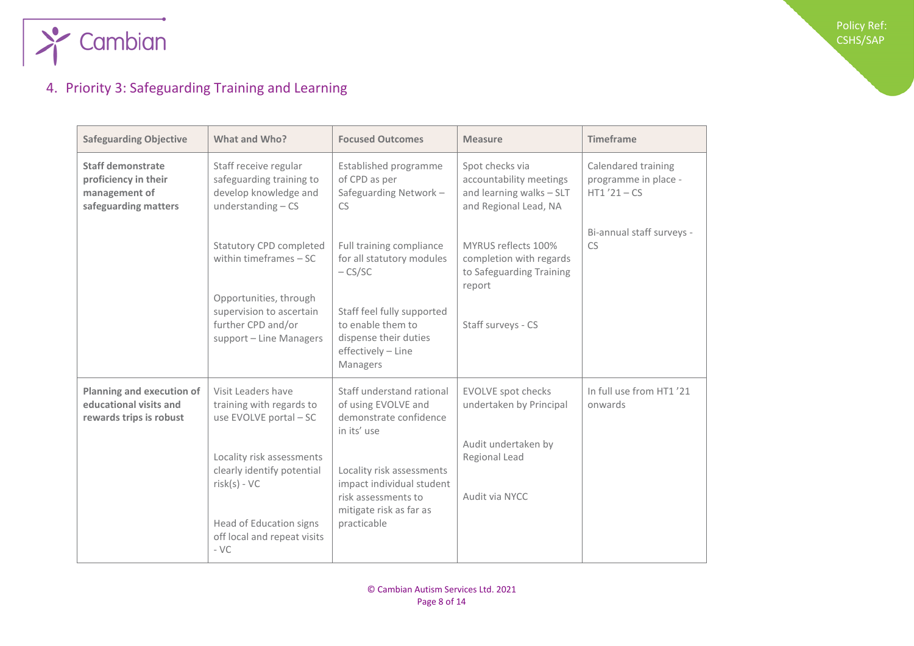

### <span id="page-7-0"></span>4. Priority 3: Safeguarding Training and Learning

| <b>Safeguarding Objective</b>                                                             | What and Who?                                                                                                                       | <b>Focused Outcomes</b>                                                                                                 | <b>Measure</b>                                                                                  | <b>Timeframe</b>                                             |
|-------------------------------------------------------------------------------------------|-------------------------------------------------------------------------------------------------------------------------------------|-------------------------------------------------------------------------------------------------------------------------|-------------------------------------------------------------------------------------------------|--------------------------------------------------------------|
| <b>Staff demonstrate</b><br>proficiency in their<br>management of<br>safeguarding matters | Staff receive regular<br>safeguarding training to<br>develop knowledge and<br>understanding $-$ CS                                  | Established programme<br>of CPD as per<br>Safeguarding Network-<br><b>CS</b>                                            | Spot checks via<br>accountability meetings<br>and learning walks - SLT<br>and Regional Lead, NA | Calendared training<br>programme in place -<br>$HT1'21 - CS$ |
|                                                                                           | <b>Statutory CPD completed</b><br>within timeframes $-SC$<br>Opportunities, through                                                 | Full training compliance<br>for all statutory modules<br>$-$ CS/SC                                                      | MYRUS reflects 100%<br>completion with regards<br>to Safeguarding Training<br>report            | Bi-annual staff surveys -<br>CS                              |
|                                                                                           | supervision to ascertain<br>further CPD and/or<br>support - Line Managers                                                           | Staff feel fully supported<br>to enable them to<br>dispense their duties<br>effectively - Line<br>Managers              | Staff surveys - CS                                                                              |                                                              |
| Planning and execution of<br>educational visits and<br>rewards trips is robust            | Visit Leaders have<br>training with regards to<br>use EVOLVE portal - SC                                                            | Staff understand rational<br>of using EVOLVE and<br>demonstrate confidence<br>in its' use                               | <b>EVOLVE spot checks</b><br>undertaken by Principal<br>Audit undertaken by                     | In full use from HT1 '21<br>onwards                          |
|                                                                                           | Locality risk assessments<br>clearly identify potential<br>$risk(s) - VC$<br>Head of Education signs<br>off local and repeat visits | Locality risk assessments<br>impact individual student<br>risk assessments to<br>mitigate risk as far as<br>practicable | Regional Lead<br>Audit via NYCC                                                                 |                                                              |
|                                                                                           | $-VC$                                                                                                                               |                                                                                                                         |                                                                                                 |                                                              |

Policy Ref: CSHS/SAP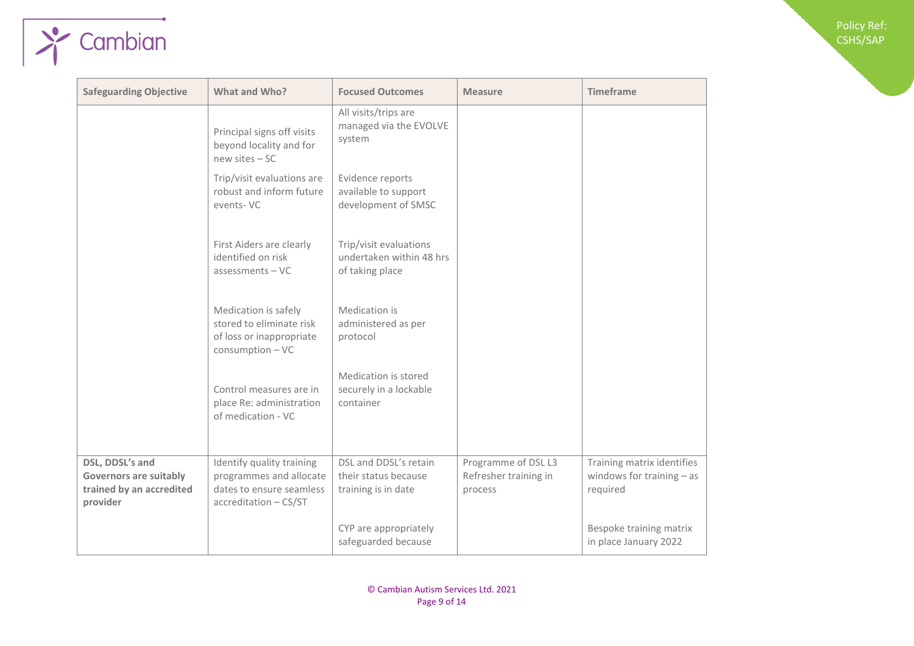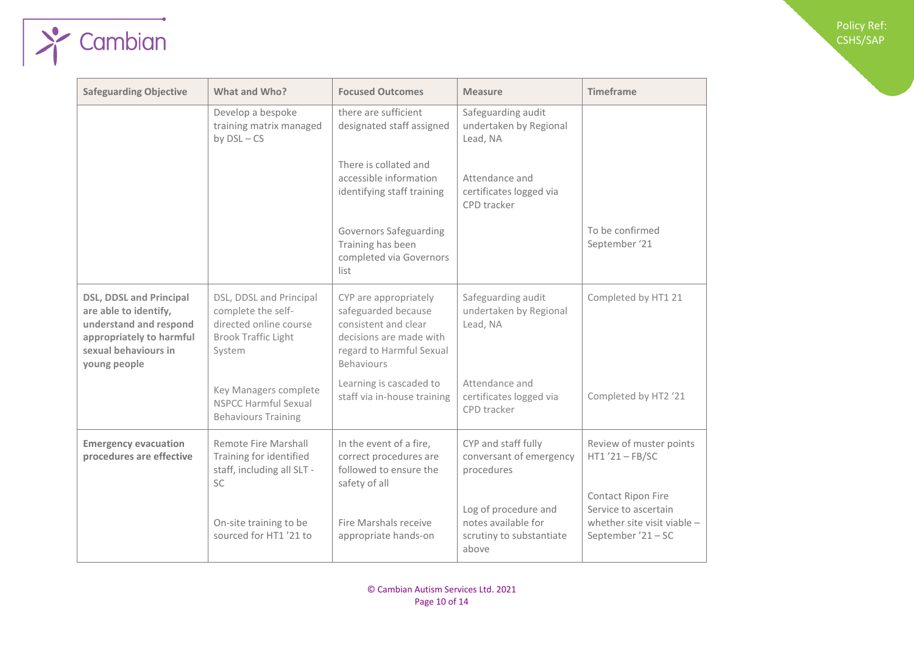| <b>Safeguarding Objective</b>                                                                                                                         | What and Who?                                                                                                   | <b>Focused Outcomes</b>                                                                                                                          | <b>Measure</b>                                                                   | <b>Timeframe</b>                                                                                |
|-------------------------------------------------------------------------------------------------------------------------------------------------------|-----------------------------------------------------------------------------------------------------------------|--------------------------------------------------------------------------------------------------------------------------------------------------|----------------------------------------------------------------------------------|-------------------------------------------------------------------------------------------------|
|                                                                                                                                                       | Develop a bespoke<br>training matrix managed<br>by $DSL - CS$                                                   | there are sufficient<br>designated staff assigned                                                                                                | Safeguarding audit<br>undertaken by Regional<br>Lead, NA                         |                                                                                                 |
|                                                                                                                                                       |                                                                                                                 | There is collated and<br>accessible information<br>identifying staff training                                                                    | Attendance and<br>certificates logged via<br>CPD tracker                         |                                                                                                 |
|                                                                                                                                                       |                                                                                                                 | Governors Safeguarding<br>Training has been<br>completed via Governors<br>list                                                                   |                                                                                  | To be confirmed<br>September '21                                                                |
| <b>DSL, DDSL and Principal</b><br>are able to identify,<br>understand and respond<br>appropriately to harmful<br>sexual behaviours in<br>young people | DSL, DDSL and Principal<br>complete the self-<br>directed online course<br><b>Brook Traffic Light</b><br>System | CYP are appropriately<br>safeguarded because<br>consistent and clear<br>decisions are made with<br>regard to Harmful Sexual<br><b>Behaviours</b> | Safeguarding audit<br>undertaken by Regional<br>Lead, NA                         | Completed by HT1 21                                                                             |
|                                                                                                                                                       | Key Managers complete<br><b>NSPCC Harmful Sexual</b><br><b>Behaviours Training</b>                              | Learning is cascaded to<br>staff via in-house training                                                                                           | Attendance and<br>certificates logged via<br>CPD tracker                         | Completed by HT2 '21                                                                            |
| <b>Emergency evacuation</b><br>procedures are effective                                                                                               | Remote Fire Marshall<br>Training for identified<br>staff, including all SLT -<br><b>SC</b>                      | In the event of a fire,<br>correct procedures are<br>followed to ensure the<br>safety of all                                                     | CYP and staff fully<br>conversant of emergency<br>procedures                     | Review of muster points<br>$HT1'21 - FB/SC$                                                     |
|                                                                                                                                                       | On-site training to be<br>sourced for HT1 '21 to                                                                | Fire Marshals receive<br>appropriate hands-on                                                                                                    | Log of procedure and<br>notes available for<br>scrutiny to substantiate<br>above | Contact Ripon Fire<br>Service to ascertain<br>whether site visit viable -<br>September '21 - SC |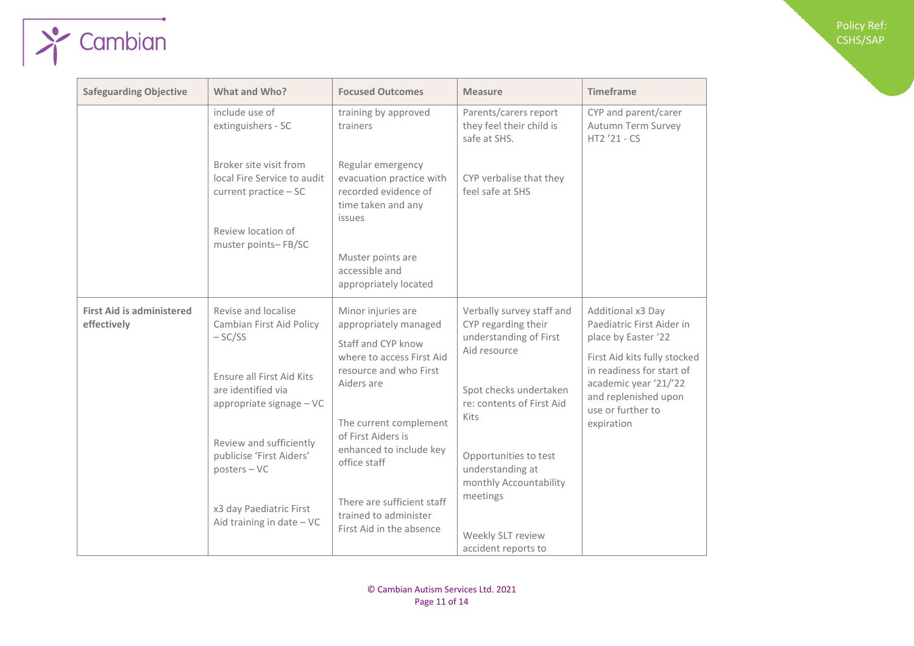| <b>Safeguarding Objective</b>                   | What and Who?                                                                                                                                                                                                                                                               | <b>Focused Outcomes</b>                                                                                                                                                                                                                                                                                              | <b>Measure</b>                                                                                                                                                                                                                                                                           | <b>Timeframe</b>                                                                                                                                                                                                       |
|-------------------------------------------------|-----------------------------------------------------------------------------------------------------------------------------------------------------------------------------------------------------------------------------------------------------------------------------|----------------------------------------------------------------------------------------------------------------------------------------------------------------------------------------------------------------------------------------------------------------------------------------------------------------------|------------------------------------------------------------------------------------------------------------------------------------------------------------------------------------------------------------------------------------------------------------------------------------------|------------------------------------------------------------------------------------------------------------------------------------------------------------------------------------------------------------------------|
|                                                 | include use of<br>extinguishers - SC                                                                                                                                                                                                                                        | training by approved<br>trainers                                                                                                                                                                                                                                                                                     | Parents/carers report<br>they feel their child is<br>safe at SHS.                                                                                                                                                                                                                        | CYP and parent/carer<br>Autumn Term Survey<br>HT2 '21 - CS                                                                                                                                                             |
|                                                 | Broker site visit from<br>local Fire Service to audit<br>current practice - SC<br>Review location of                                                                                                                                                                        | Regular emergency<br>evacuation practice with<br>recorded evidence of<br>time taken and any<br>issues                                                                                                                                                                                                                | CYP verbalise that they<br>feel safe at SHS                                                                                                                                                                                                                                              |                                                                                                                                                                                                                        |
| muster points-FB/SC                             | Muster points are<br>accessible and<br>appropriately located                                                                                                                                                                                                                |                                                                                                                                                                                                                                                                                                                      |                                                                                                                                                                                                                                                                                          |                                                                                                                                                                                                                        |
| <b>First Aid is administered</b><br>effectively | Revise and localise<br>Cambian First Aid Policy<br>$-SC/SS$<br>Ensure all First Aid Kits<br>are identified via<br>appropriate signage - VC<br>Review and sufficiently<br>publicise 'First Aiders'<br>$posters - VC$<br>x3 day Paediatric First<br>Aid training in date - VC | Minor injuries are<br>appropriately managed<br>Staff and CYP know<br>where to access First Aid<br>resource and who First<br>Aiders are<br>The current complement<br>of First Aiders is<br>enhanced to include key<br>office staff<br>There are sufficient staff<br>trained to administer<br>First Aid in the absence | Verbally survey staff and<br>CYP regarding their<br>understanding of First<br>Aid resource<br>Spot checks undertaken<br>re: contents of First Aid<br>Kits<br>Opportunities to test<br>understanding at<br>monthly Accountability<br>meetings<br>Weekly SLT review<br>accident reports to | Additional x3 Day<br>Paediatric First Aider in<br>place by Easter '22<br>First Aid kits fully stocked<br>in readiness for start of<br>academic year '21/'22<br>and replenished upon<br>use or further to<br>expiration |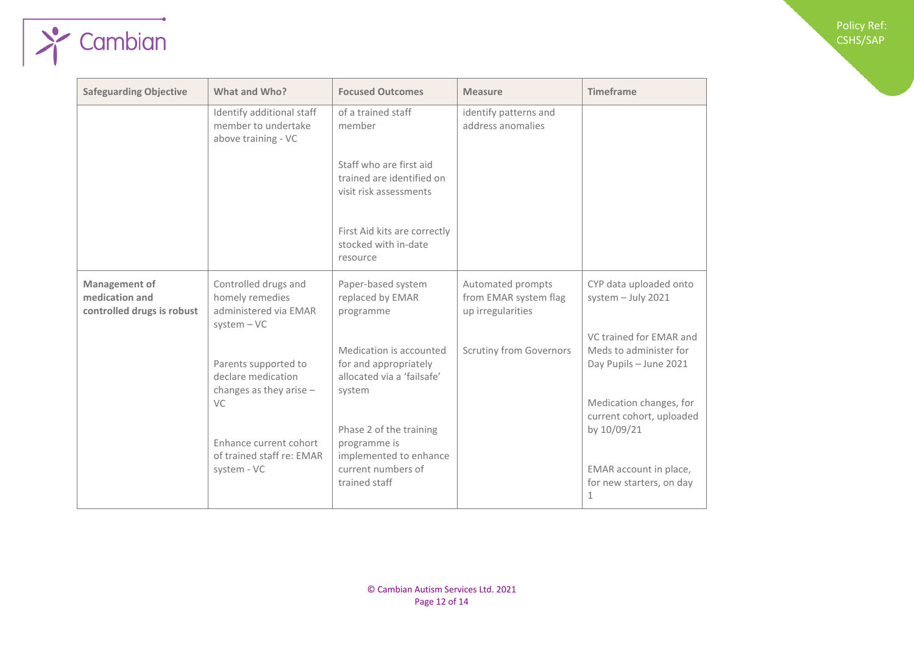Policy Ref: CSHS/SAP

| <b>Safeguarding Objective</b>                                        | What and Who?                                                                     | <b>Focused Outcomes</b>                                                                  | <b>Measure</b>                                                  | <b>Timeframe</b>                                                            |
|----------------------------------------------------------------------|-----------------------------------------------------------------------------------|------------------------------------------------------------------------------------------|-----------------------------------------------------------------|-----------------------------------------------------------------------------|
|                                                                      | Identify additional staff<br>member to undertake<br>above training - VC           | of a trained staff<br>member                                                             | identify patterns and<br>address anomalies                      |                                                                             |
|                                                                      |                                                                                   | Staff who are first aid<br>trained are identified on<br>visit risk assessments           |                                                                 |                                                                             |
|                                                                      |                                                                                   | First Aid kits are correctly<br>stocked with in-date<br>resource                         |                                                                 |                                                                             |
| <b>Management of</b><br>medication and<br>controlled drugs is robust | Controlled drugs and<br>homely remedies<br>administered via EMAR<br>$system - VC$ | Paper-based system<br>replaced by EMAR<br>programme                                      | Automated prompts<br>from EMAR system flag<br>up irregularities | CYP data uploaded onto<br>system $-$ July 2021                              |
|                                                                      | Parents supported to<br>declare medication<br>changes as they arise $-$           | Medication is accounted<br>for and appropriately<br>allocated via a 'failsafe'<br>system | <b>Scrutiny from Governors</b>                                  | VC trained for EMAR and<br>Meds to administer for<br>Day Pupils - June 2021 |
|                                                                      | VC.<br>Enhance current cohort                                                     | Phase 2 of the training<br>programme is                                                  |                                                                 | Medication changes, for<br>current cohort, uploaded<br>by 10/09/21          |
|                                                                      | of trained staff re: EMAR<br>system - VC                                          | implemented to enhance<br>current numbers of<br>trained staff                            |                                                                 | EMAR account in place,<br>for new starters, on day<br>1                     |

 $\sqrt{\frac{1}{2}$  Cambian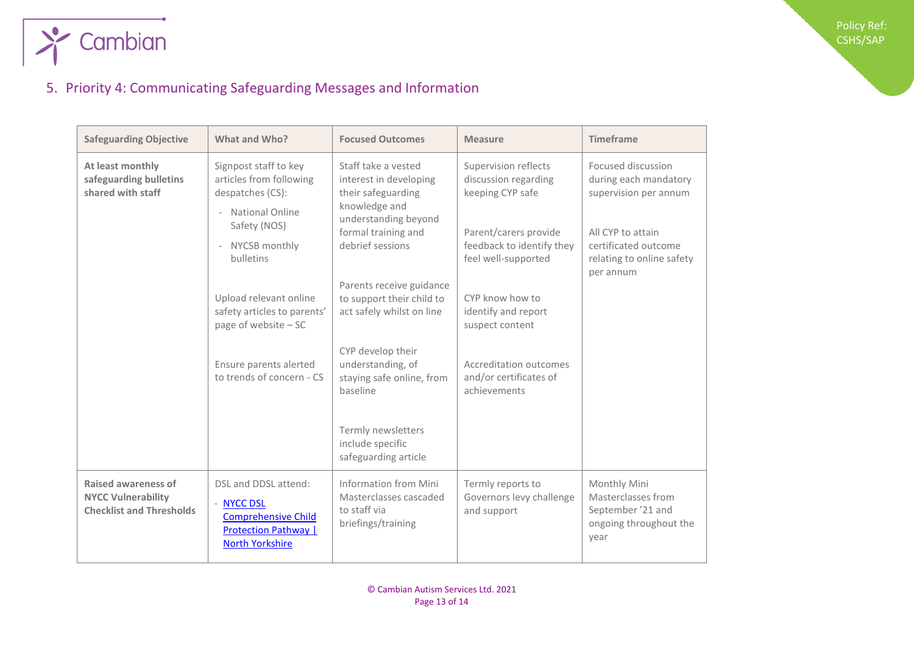

## <span id="page-12-0"></span>5. Priority 4: Communicating Safeguarding Messages and Information

| <b>Safeguarding Objective</b>                                                       | What and Who?                                                                                                                                                                                                                                                                     | <b>Focused Outcomes</b>                                                                                                                                                                                                                                                                                                                                                                            | <b>Measure</b>                                                                                                                                                                                                                                                                 | <b>Timeframe</b>                                                                                                                                            |
|-------------------------------------------------------------------------------------|-----------------------------------------------------------------------------------------------------------------------------------------------------------------------------------------------------------------------------------------------------------------------------------|----------------------------------------------------------------------------------------------------------------------------------------------------------------------------------------------------------------------------------------------------------------------------------------------------------------------------------------------------------------------------------------------------|--------------------------------------------------------------------------------------------------------------------------------------------------------------------------------------------------------------------------------------------------------------------------------|-------------------------------------------------------------------------------------------------------------------------------------------------------------|
| At least monthly<br>safeguarding bulletins<br>shared with staff                     | Signpost staff to key<br>articles from following<br>despatches (CS):<br>- National Online<br>Safety (NOS)<br>- NYCSB monthly<br>bulletins<br>Upload relevant online<br>safety articles to parents'<br>page of website - SC<br>Ensure parents alerted<br>to trends of concern - CS | Staff take a vested<br>interest in developing<br>their safeguarding<br>knowledge and<br>understanding beyond<br>formal training and<br>debrief sessions<br>Parents receive guidance<br>to support their child to<br>act safely whilst on line<br>CYP develop their<br>understanding, of<br>staying safe online, from<br>baseline<br>Termly newsletters<br>include specific<br>safeguarding article | Supervision reflects<br>discussion regarding<br>keeping CYP safe<br>Parent/carers provide<br>feedback to identify they<br>feel well-supported<br>CYP know how to<br>identify and report<br>suspect content<br>Accreditation outcomes<br>and/or certificates of<br>achievements | Focused discussion<br>during each mandatory<br>supervision per annum<br>All CYP to attain<br>certificated outcome<br>relating to online safety<br>per annum |
|                                                                                     |                                                                                                                                                                                                                                                                                   |                                                                                                                                                                                                                                                                                                                                                                                                    |                                                                                                                                                                                                                                                                                |                                                                                                                                                             |
| Raised awareness of<br><b>NYCC Vulnerability</b><br><b>Checklist and Thresholds</b> | DSL and DDSL attend:<br><b>NYCC DSL</b><br><b>Comprehensive Child</b><br><b>Protection Pathway</b>  <br><b>North Yorkshire</b>                                                                                                                                                    | Information from Mini<br>Masterclasses cascaded<br>to staff via<br>briefings/training                                                                                                                                                                                                                                                                                                              | Termly reports to<br>Governors levy challenge<br>and support                                                                                                                                                                                                                   | Monthly Mini<br>Masterclasses from<br>September '21 and<br>ongoing throughout the<br>year                                                                   |